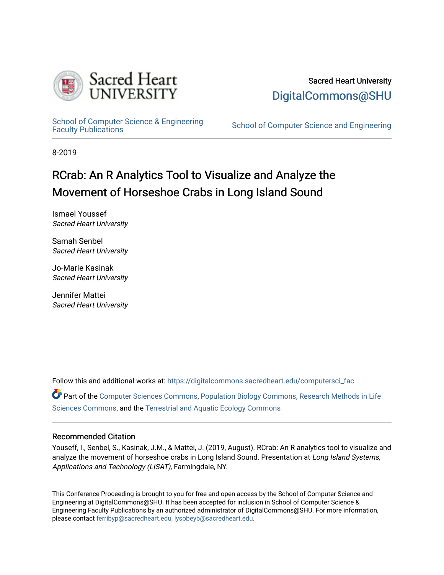

## Sacred Heart University [DigitalCommons@SHU](https://digitalcommons.sacredheart.edu/)

School of Computer Science & Engineering<br>Faculty Publications

School of Computer Science and Engineering

8-2019

# RCrab: An R Analytics Tool to Visualize and Analyze the Movement of Horseshoe Crabs in Long Island Sound

Ismael Youssef Sacred Heart University

Samah Senbel Sacred Heart University

Jo-Marie Kasinak Sacred Heart University

Jennifer Mattei Sacred Heart University

Follow this and additional works at: [https://digitalcommons.sacredheart.edu/computersci\\_fac](https://digitalcommons.sacredheart.edu/computersci_fac?utm_source=digitalcommons.sacredheart.edu%2Fcomputersci_fac%2F131&utm_medium=PDF&utm_campaign=PDFCoverPages) 

Part of the [Computer Sciences Commons](http://network.bepress.com/hgg/discipline/142?utm_source=digitalcommons.sacredheart.edu%2Fcomputersci_fac%2F131&utm_medium=PDF&utm_campaign=PDFCoverPages), [Population Biology Commons,](http://network.bepress.com/hgg/discipline/19?utm_source=digitalcommons.sacredheart.edu%2Fcomputersci_fac%2F131&utm_medium=PDF&utm_campaign=PDFCoverPages) [Research Methods in Life](http://network.bepress.com/hgg/discipline/1385?utm_source=digitalcommons.sacredheart.edu%2Fcomputersci_fac%2F131&utm_medium=PDF&utm_campaign=PDFCoverPages)  [Sciences Commons,](http://network.bepress.com/hgg/discipline/1385?utm_source=digitalcommons.sacredheart.edu%2Fcomputersci_fac%2F131&utm_medium=PDF&utm_campaign=PDFCoverPages) and the [Terrestrial and Aquatic Ecology Commons](http://network.bepress.com/hgg/discipline/20?utm_source=digitalcommons.sacredheart.edu%2Fcomputersci_fac%2F131&utm_medium=PDF&utm_campaign=PDFCoverPages)

#### Recommended Citation

Youseff, I., Senbel, S., Kasinak, J.M., & Mattei, J. (2019, August). RCrab: An R analytics tool to visualize and analyze the movement of horseshoe crabs in Long Island Sound. Presentation at Long Island Systems, Applications and Technology (LISAT), Farmingdale, NY.

This Conference Proceeding is brought to you for free and open access by the School of Computer Science and Engineering at DigitalCommons@SHU. It has been accepted for inclusion in School of Computer Science & Engineering Faculty Publications by an authorized administrator of DigitalCommons@SHU. For more information, please contact [ferribyp@sacredheart.edu, lysobeyb@sacredheart.edu.](mailto:ferribyp@sacredheart.edu,%20lysobeyb@sacredheart.edu)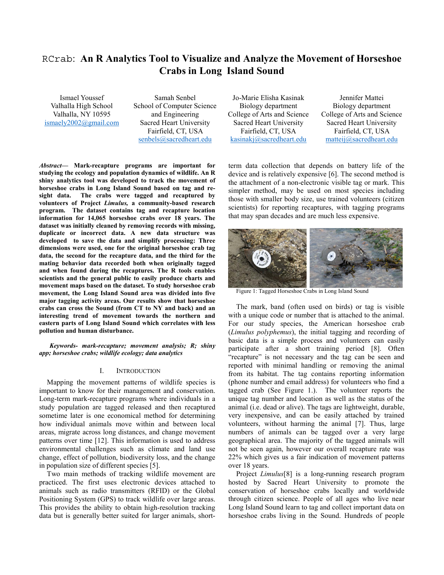### RCrab: **An R Analytics Tool to Visualize and Analyze the Movement of Horseshoe Crabs in Long Island Sound**

Ismael Youssef Valhalla High School Valhalla, NY 10595 ismaely2002@gmail.com

Samah Senbel School of Computer Science and Engineering Sacred Heart University Fairfield, CT, USA senbels@sacredheart.edu

*Abstract***— Mark-recapture programs are important for studying the ecology and population dynamics of wildlife. An R shiny analytics tool was developed to track the movement of horseshoe crabs in Long Island Sound based on tag and resight data. The crabs were tagged and recaptured by volunteers of Project** *Limulus,* **a community-based research program. The dataset contains tag and recapture location information for 14,065 horseshoe crabs over 18 years. The dataset was initially cleaned by removing records with missing, duplicate or incorrect data. A new data structure was developed to save the data and simplify processing: Three dimensions were used, one for the original horseshoe crab tag data, the second for the recapture data, and the third for the mating behavior data recorded both when originally tagged and when found during the recaptures. The R tools enables scientists and the general public to easily produce charts and movement maps based on the dataset. To study horseshoe crab movement, the Long Island Sound area was divided into five major tagging activity areas. Our results show that horseshoe crabs can cross the Sound (from CT to NY and back) and an interesting trend of movement towards the northern and eastern parts of Long Island Sound which correlates with less pollution and human disturbance.** 

*Keywords- mark-recapture; movement analysis; R; shiny app; horseshoe crabs; wildlife ecology; data analytics* 

#### I. INTRODUCTION

Mapping the movement patterns of wildlife species is important to know for their management and conservation. Long-term mark-recapture programs where individuals in a study population are tagged released and then recaptured sometime later is one economical method for determining how individual animals move within and between local areas, migrate across long distances, and change movement patterns over time [12]. This information is used to address environmental challenges such as climate and land use change, effect of pollution, biodiversity loss, and the change in population size of different species [5].

Two main methods of tracking wildlife movement are practiced. The first uses electronic devices attached to animals such as radio transmitters (RFID) or the Global Positioning System (GPS) to track wildlife over large areas. This provides the ability to obtain high-resolution tracking data but is generally better suited for larger animals, short-

Jo-Marie Elisha Kasinak Biology department College of Arts and Science Sacred Heart University Fairfield, CT, USA kasinakj@sacredheart.edu

Jennifer Mattei Biology department College of Arts and Science Sacred Heart University Fairfield, CT, USA matteij@sacredheart.edu

term data collection that depends on battery life of the device and is relatively expensive [6]. The second method is the attachment of a non-electronic visible tag or mark. This simpler method, may be used on most species including those with smaller body size, use trained volunteers (citizen scientists) for reporting recaptures, with tagging programs that may span decades and are much less expensive.



Figure 1: Tagged Horseshoe Crabs in Long Island Sound

The mark, band (often used on birds) or tag is visible with a unique code or number that is attached to the animal. For our study species, the American horseshoe crab (*Limulus polyphemus*), the initial tagging and recording of basic data is a simple process and volunteers can easily participate after a short training period [8]. Often "recapture" is not necessary and the tag can be seen and reported with minimal handling or removing the animal from its habitat. The tag contains reporting information (phone number and email address) for volunteers who find a tagged crab (See Figure 1.). The volunteer reports the unique tag number and location as well as the status of the animal (i.e. dead or alive). The tags are lightweight, durable, very inexpensive, and can be easily attached by trained volunteers, without harming the animal [7]. Thus, large numbers of animals can be tagged over a very large geographical area. The majority of the tagged animals will not be seen again, however our overall recapture rate was 22% which gives us a fair indication of movement patterns over 18 years.

Project *Limulus*[8] is a long-running research program hosted by Sacred Heart University to promote the conservation of horseshoe crabs locally and worldwide through citizen science. People of all ages who live near Long Island Sound learn to tag and collect important data on horseshoe crabs living in the Sound. Hundreds of people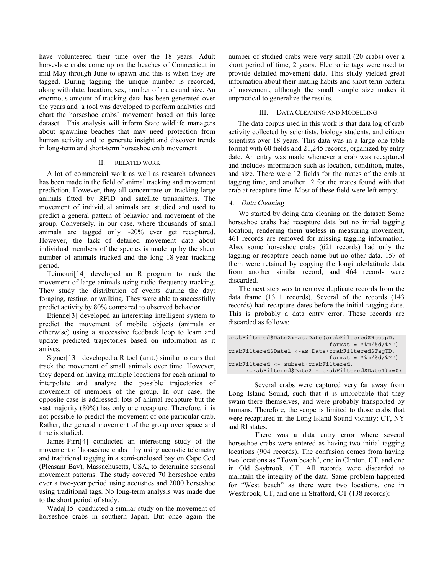have volunteered their time over the 18 years. Adult horseshoe crabs come up on the beaches of Connecticut in mid-May through June to spawn and this is when they are tagged. During tagging the unique number is recorded, along with date, location, sex, number of mates and size. An enormous amount of tracking data has been generated over the years and a tool was developed to perform analytics and chart the horseshoe crabs' movement based on this large dataset. This analysis will inform State wildlife managers about spawning beaches that may need protection from human activity and to generate insight and discover trends in long-term and short-term horseshoe crab movement

#### II. RELATED WORK

A lot of commercial work as well as research advances has been made in the field of animal tracking and movement prediction. However, they all concentrate on tracking large animals fitted by RFID and satellite transmitters. The movement of individual animals are studied and used to predict a general pattern of behavior and movement of the group. Conversely, in our case, where thousands of small animals are tagged only ~20% ever get recaptured. However, the lack of detailed movement data about individual members of the species is made up by the sheer number of animals tracked and the long 18-year tracking period.

Teimouri[14] developed an R program to track the movement of large animals using radio frequency tracking. They study the distribution of events during the day: foraging, resting, or walking. They were able to successfully predict activity by 80% compared to observed behavior.

Etienne[3] developed an interesting intelligent system to predict the movement of mobile objects (animals or otherwise) using a successive feedback loop to learn and update predicted trajectories based on information as it arrives.

Signer[13] developed a R tool ( $amt$ ) similar to ours that track the movement of small animals over time. However, they depend on having multiple locations for each animal to interpolate and analyze the possible trajectories of movement of members of the group. In our case, the opposite case is addressed: lots of animal recapture but the vast majority (80%) has only one recapture. Therefore, it is not possible to predict the movement of one particular crab. Rather, the general movement of the group over space and time is studied.

James-Pirri[4] conducted an interesting study of the movement of horseshoe crabs by using acoustic telemetry and traditional tagging in a semi-enclosed bay on Cape Cod (Pleasant Bay), Massachusetts, USA, to determine seasonal movement patterns. The study covered 70 horseshoe crabs over a two-year period using acoustics and 2000 horseshoe using traditional tags. No long-term analysis was made due to the short period of study.

Wada[15] conducted a similar study on the movement of horseshoe crabs in southern Japan. But once again the

number of studied crabs were very small (20 crabs) over a short period of time, 2 years. Electronic tags were used to provide detailed movement data. This study yielded great information about their mating habits and short-term pattern of movement, although the small sample size makes it unpractical to generalize the results.

#### III. DATA CLEANING AND MODELLING

 The data corpus used in this work is that data log of crab activity collected by scientists, biology students, and citizen scientists over 18 years. This data was in a large one table format with 60 fields and 21,245 records, organized by entry date. An entry was made whenever a crab was recaptured and includes information such as location, condition, mates, and size. There were 12 fields for the mates of the crab at tagging time, and another 12 for the mates found with that crab at recapture time. Most of these field were left empty.

#### *A. Data Cleaning*

We started by doing data cleaning on the dataset: Some horseshoe crabs had recapture data but no initial tagging location, rendering them useless in measuring movement, 461 records are removed for missing tagging information. Also, some horseshoe crabs (621 records) had only the tagging or recapture beach name but no other data. 157 of them were retained by copying the longitude/latitude data from another similar record, and 464 records were discarded.

The next step was to remove duplicate records from the data frame (1311 records). Several of the records (143 records) had recapture dates before the initial tagging date. This is probably a data entry error. These records are discarded as follows:

| crabFiltered\$Date2<-as.Date(crabFiltered\$RecapD, |
|----------------------------------------------------|
| format = $"\$ m/%d/%Y")                            |
| crabFiltered\$Date1 <-as.Date(crabFiltered\$TaqTD, |
| format = $"\$ m/%d/%Y")                            |
| crabFiltered <- subset (crabFiltered,              |
| (crabFiltered\$Date2 - crabFiltered\$Date1) >=0)   |

Several crabs were captured very far away from Long Island Sound, such that it is improbable that they swam there themselves, and were probably transported by humans. Therefore, the scope is limited to those crabs that were recaptured in the Long Island Sound vicinity: CT, NY and RI states.

There was a data entry error where several horseshoe crabs were entered as having two initial tagging locations (904 records). The confusion comes from having two locations as "Town beach", one in Clinton, CT, and one in Old Saybrook, CT. All records were discarded to maintain the integrity of the data. Same problem happened for "West beach" as there were two locations, one in Westbrook, CT, and one in Stratford, CT (138 records):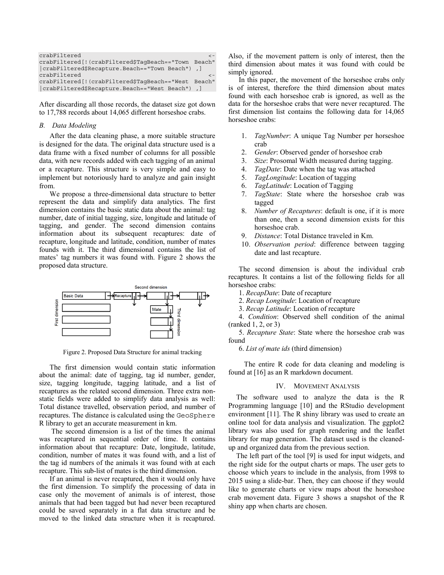| crabFiltered                                        |  |
|-----------------------------------------------------|--|
| crabFiltered[!(crabFiltered\$TaqBeach=="Town Beach" |  |
| crabFiltered\$Recapture.Beach=="Town Beach"), ]     |  |
| crabFiltered                                        |  |
| crabFiltered[!(crabFiltered\$TaqBeach=="West Beach" |  |
| crabFiltered\$Recapture.Beach=="West Beach"), ]     |  |

After discarding all those records, the dataset size got down to 17,788 records about 14,065 different horseshoe crabs.

#### *B. Data Modeling*

After the data cleaning phase, a more suitable structure is designed for the data. The original data structure used is a data frame with a fixed number of columns for all possible data, with new records added with each tagging of an animal or a recapture. This structure is very simple and easy to implement but notoriously hard to analyze and gain insight from.

We propose a three-dimensional data structure to better represent the data and simplify data analytics. The first dimension contains the basic static data about the animal: tag number, date of initial tagging, size, longitude and latitude of tagging, and gender. The second dimension contains information about its subsequent recaptures: date of recapture, longitude and latitude, condition, number of mates founds with it. The third dimensional contains the list of mates' tag numbers it was found with. Figure 2 shows the proposed data structure.



Figure 2. Proposed Data Structure for animal tracking

The first dimension would contain static information about the animal: date of tagging, tag id number, gender, size, tagging longitude, tagging latitude, and a list of recaptures as the related second dimension. Three extra nonstatic fields were added to simplify data analysis as well: Total distance travelled, observation period, and number of recaptures. The distance is calculated using the GeoSphere R library to get an accurate measurement in km.

 The second dimension is a list of the times the animal was recaptured in sequential order of time. It contains information about that recapture: Date, longitude, latitude, condition, number of mates it was found with, and a list of the tag id numbers of the animals it was found with at each recapture. This sub-list of mates is the third dimension.

If an animal is never recaptured, then it would only have the first dimension. To simplify the processing of data in case only the movement of animals is of interest, those animals that had been tagged but had never been recaptured could be saved separately in a flat data structure and be moved to the linked data structure when it is recaptured. Also, if the movement pattern is only of interest, then the third dimension about mates it was found with could be simply ignored.

In this paper, the movement of the horseshoe crabs only is of interest, therefore the third dimension about mates found with each horseshoe crab is ignored, as well as the data for the horseshoe crabs that were never recaptured. The first dimension list contains the following data for 14,065 horseshoe crabs:

- 1. *TagNumber*: A unique Tag Number per horseshoe crab
- 2. *Gender*: Observed gender of horseshoe crab
- 3. *Size*: Prosomal Width measured during tagging.
- 4. *TagDate*: Date when the tag was attached
- 5. *TagLongitude*: Location of tagging
- 6. *TagLatitude*: Location of Tagging
- 7. *TagState*: State where the horseshoe crab was tagged
- 8. *Number of Recaptures*: default is one, if it is more than one, then a second dimension exists for this horseshoe crab.
- 9. *Distance*: Total Distance traveled in Km.
- 10. *Observation period*: difference between tagging date and last recapture.

The second dimension is about the individual crab recaptures. It contains a list of the following fields for all horseshoe crabs:

- 1. *RecapDate*: Date of recapture
- 2. *Recap Longitude*: Location of recapture
- 3. *Recap Latitude*: Location of recapture

4. *Condition*: Observed shell condition of the animal (ranked 1, 2, or 3)

5. *Recapture State*: State where the horseshoe crab was found

6. *List of mate ids* (third dimension)

 The entire R code for data cleaning and modeling is found at [16] as an R markdown document.

#### IV. MOVEMENT ANALYSIS

The software used to analyze the data is the R Programming language [10] and the RStudio development environment [11]. The R shiny library was used to create an online tool for data analysis and visualization. The ggplot2 library was also used for graph rendering and the leaflet library for map generation. The dataset used is the cleanedup and organized data from the previous section.

The left part of the tool [9] is used for input widgets, and the right side for the output charts or maps. The user gets to choose which years to include in the analysis, from 1998 to 2015 using a slide-bar. Then, they can choose if they would like to generate charts or view maps about the horseshoe crab movement data. Figure 3 shows a snapshot of the R shiny app when charts are chosen.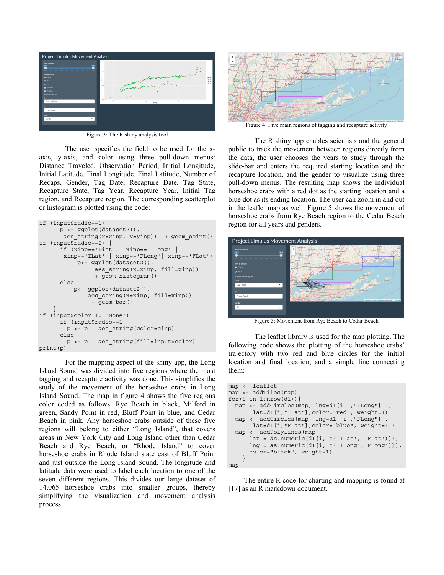

Figure 3: The R shiny analysis tool

The user specifies the field to be used for the xaxis, y-axis, and color using three pull-down menus: Distance Traveled, Observation Period, Initial Longitude, Initial Latitude, Final Longitude, Final Latitude, Number of Recaps, Gender, Tag Date, Recapture Date, Tag State, Recapture State, Tag Year, Recapture Year, Initial Tag region, and Recapture region. The corresponding scatterplot or histogram is plotted using the code:

```
if (input$radio==1) 
       p <- ggplot(dataset2(), 
       aes string(x=xinp, y=yinp)) + geom_point()
if (input$radio==2) { 
       if (xinp=='Dist' | xinp=='ILong' | 
        xinp=='ILat' | xinp=='FLong'| xinp=='FLat') 
            p<- ggplot(dataset2(), 
                 aes string(x=xinp, fill=xinp))
                  + geom_histogram() 
       else 
           p<- ggplot(dataset2(), 
               aes string(x=xinp, fill=xinp))
                 + geom_bar() 
 } 
if (input$color != 'None') 
       if (input$radio==1) 
        p <- p + aes_string(color=cinp) 
       else 
         p <- p + aes_string(fill=input$color) 
print(p)
```
For the mapping aspect of the shiny app, the Long Island Sound was divided into five regions where the most tagging and recapture activity was done. This simplifies the study of the movement of the horseshoe crabs in Long Island Sound. The map in figure 4 shows the five regions color coded as follows: Rye Beach in black, Milford in green, Sandy Point in red, Bluff Point in blue, and Cedar Beach in pink. Any horseshoe crabs outside of these five regions will belong to either "Long Island", that covers areas in New York City and Long Island other than Cedar Beach and Rye Beach, or "Rhode Island" to cover horseshoe crabs in Rhode Island state east of Bluff Point and just outside the Long Island Sound. The longitude and latitude data were used to label each location to one of the seven different regions. This divides our large dataset of 14,065 horseshoe crabs into smaller groups, thereby simplifying the visualization and movement analysis process.



Figure 4: Five main regions of tagging and recapture activity

The R shiny app enables scientists and the general public to track the movement between regions directly from the data, the user chooses the years to study through the slide-bar and enters the required starting location and the recapture location, and the gender to visualize using three pull-down menus. The resulting map shows the individual horseshoe crabs with a red dot as the starting location and a blue dot as its ending location. The user can zoom in and out in the leaflet map as well. Figure 5 shows the movement of horseshoe crabs from Rye Beach region to the Cedar Beach region for all years and genders.



Figure 5: Movement from Rye Beach to Cedar Beach

The leaflet library is used for the map plotting. The following code shows the plotting of the horseshoe crabs' trajectory with two red and blue circles for the initial location and final location, and a simple line connecting them:

```
map <- leaflet() 
map <- addTiles(map) 
for(i in 1: nrow(d1)) {
  map <- addCircles(map, lng=d1[i , "ILong"]
        lat=d1[i,"ILat"],color="red", weight=1) 
  map <- addCircles(map, lng=d1[ i , "FLong"] ,
        lat=d1[i,"FLat"],color="blue", weight=1 ) 
   map <- addPolylines(map, 
       lat = as.numeric(d1[i, c('ILat', 'FLat')]), 
       lng = as.numeric(d1[i, c('ILong','FLong')]), 
       color="black", weight=1) 
     } 
map
```
 The entire R code for charting and mapping is found at [17] as an R markdown document.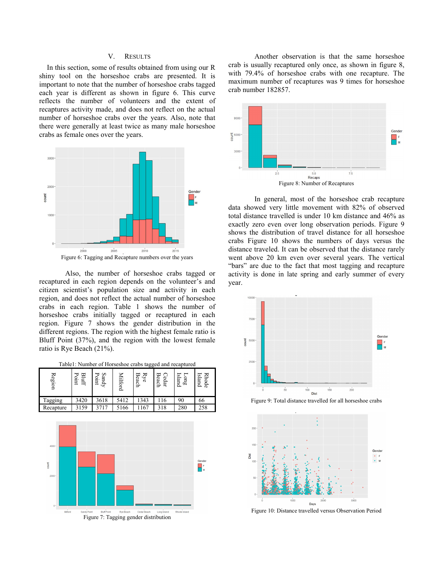#### V. RESULTS

In this section, some of results obtained from using our R shiny tool on the horseshoe crabs are presented. It is important to note that the number of horseshoe crabs tagged each year is different as shown in figure 6. This curve reflects the number of volunteers and the extent of recaptures activity made, and does not reflect on the actual number of horseshoe crabs over the years. Also, note that there were generally at least twice as many male horseshoe crabs as female ones over the years.



Also, the number of horseshoe crabs tagged or recaptured in each region depends on the volunteer's and citizen scientist's population size and activity in each region, and does not reflect the actual number of horseshoe crabs in each region. Table 1 shows the number of horseshoe crabs initially tagged or recaptured in each region. Figure 7 shows the gender distribution in the different regions. The region with the highest female ratio is Bluff Point (37%), and the region with the lowest female ratio is Rye Beach (21%).

Table1: Number of Horseshoe crabs tagged and recaptured

| Milford<br>$\ensuremath{\mathrm{Ryc}}$<br>Beach<br>Region<br>Bluff<br>Point<br>Sandy<br>Point<br>Cedar<br>Beach<br>Long<br>Island<br><b>Rhode</b><br>Island<br>$\frac{1}{5412}$<br>3420<br>3618<br>1343<br>116<br>66<br>90<br>Tagging<br>3159<br>3717<br>5166<br>1167<br>258<br>Recapture<br>318<br>280<br>$4000 -$ |  |
|---------------------------------------------------------------------------------------------------------------------------------------------------------------------------------------------------------------------------------------------------------------------------------------------------------------------|--|
|                                                                                                                                                                                                                                                                                                                     |  |
|                                                                                                                                                                                                                                                                                                                     |  |
|                                                                                                                                                                                                                                                                                                                     |  |
| Gender<br>count<br>F<br>$\overline{M}$<br>$2000 -$<br>$0 -$<br><b>Bluff Point</b><br>Sandy Point<br>Cedar Beach<br>Milford<br>Rye Beach<br>Long Island<br>Rhode Island<br>Figure 7: Tagging gender distribution                                                                                                     |  |

Another observation is that the same horseshoe crab is usually recaptured only once, as shown in figure 8, with 79.4% of horseshoe crabs with one recapture. The maximum number of recaptures was 9 times for horseshoe crab number 182857.



In general, most of the horseshoe crab recapture data showed very little movement with 82% of observed total distance travelled is under 10 km distance and 46% as exactly zero even over long observation periods. Figure 9 shows the distribution of travel distance for all horseshoe crabs Figure 10 shows the numbers of days versus the distance traveled. It can be observed that the distance rarely went above 20 km even over several years. The vertical "bars" are due to the fact that most tagging and recapture activity is done in late spring and early summer of every year.



Figure 9: Total distance travelled for all horseshoe crabs



Figure 10: Distance travelled versus Observation Period